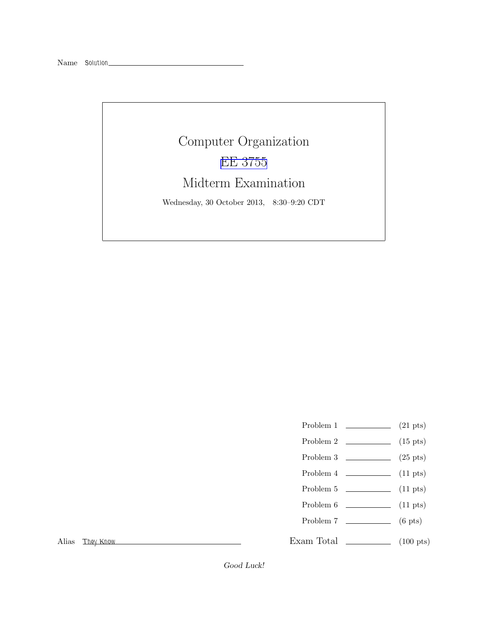# Computer Organization [EE 3755](http://www.ece.lsu.edu/ee3755/) Midterm Examination Wednesday, 30 October 2013, 8:30–9:20 CDT

- Problem 1  $(21 \text{ pts})$
- Problem 2  $\qquad \qquad$  (15 pts)
- Problem 3  $\qquad \qquad (25 \text{ pts})$
- Problem 4  $\sim$  (11 pts)
- Problem 5 (11 pts)
- Problem  $6 \t\t(11 \text{ pts})$
- Problem 7 (6 pts)
- 
- Exam Total \_\_\_\_\_\_\_\_\_\_\_\_\_\_ (100 pts)

Alias *They Know*

Good Luck!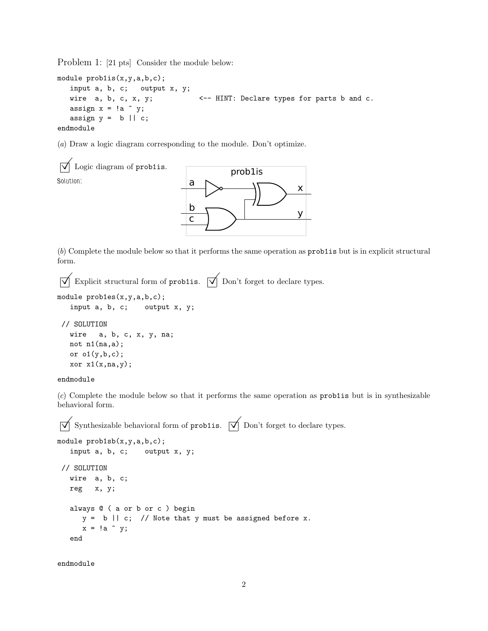Problem 1: [21 pts] Consider the module below:

```
module prob1is(x,y,a,b,c);
  input a, b, c; output x, y;
  wire a, b, c, x, y; \leftarrow HINT: Declare types for parts b and c.
  assign x = !a y;
  assign y = b || c;endmodule
```
(*a*) Draw a logic diagram corresponding to the module. Don't optimize.



(*b*) Complete the module below so that it performs the same operation as prob1is but is in explicit structural form.

```
\overrightarrow{\mathsf{Q}} Explicit structural form of prob1is. \overrightarrow{\mathsf{Q}} Don't forget to declare types.
```

```
module prob1es(x,y,a,b,c);
```

```
input a, b, c; output x, y;
// SOLUTION
 wire a, b, c, x, y, na;
 not n1(na,a);
 or o1(y,b,c);
 xor x1(x,na,y);
```
#### endmodule

(*c*) Complete the module below so that it performs the same operation as prob1is but is in synthesizable behavioral form.

 $\overrightarrow{\mathsf{Q}}$  Synthesizable behavioral form of prob1is.  $\overrightarrow{\mathsf{Q}}$  Don't forget to declare types.

```
module prob1sb(x,y,a,b,c);input a, b, c; output x, y;
// SOLUTION
  wire a, b, c;
  reg x, y;
  always @ ( a or b or c ) begin
     y = b || c; // Note that y must be assigned before x.x = !a y;
  end
```
endmodule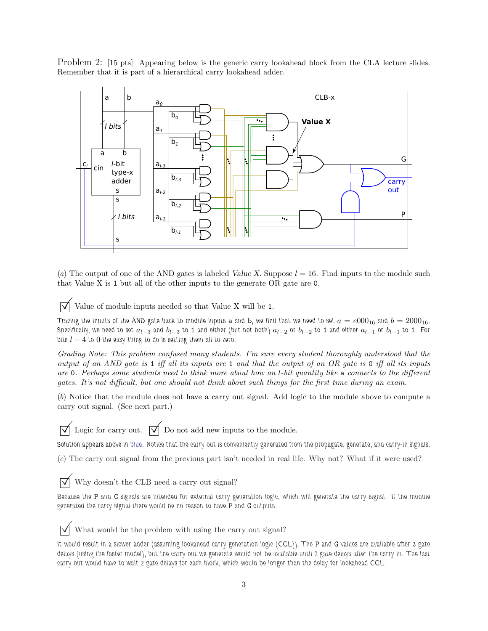Problem 2: [15 pts] Appearing below is the generic carry lookahead block from the CLA lecture slides. Remember that it is part of a hierarchical carry lookahead adder.



(*a*) The output of one of the AND gates is labeled Value X. Suppose  $l = 16$ . Find inputs to the module such that Value X is 1 but all of the other inputs to the generate OR gate are 0.

Value of module inputs needed so that Value X will be <sup>1</sup>.

*Tracing the inputs of the AND gate back to module inputs* a and b, we find that we need to set  $a = e000_{16}$  and  $b = 2000_{16}$ . Specifically, we need to set  $a_{l-3}$  and  $b_{l-3}$  to 1 and either (but not both)  $a_{l-2}$  or  $b_{l-2}$  to 1 and either  $a_{l-1}$  or  $b_{l-1}$  to 1. For *bits* l − 4 *to* 0 *the easy thing to do is setting them all to zero.*

*Grading Note: This problem confused many students. I'm sure every student thoroughly understood that the output of an AND gate is* 1 *iff all its inputs are* 1 *and that the output of an OR gate is* 0 *iff all its inputs are* 0*. Perhaps some students need to think more about how an* l*-bit quantity like* a *connects to the different gates. It's not difficult, but one should not think about such things for the first time during an exam.*

(*b*) Notice that the module does not have a carry out signal. Add logic to the module above to compute a carry out signal. (See next part.)

 $\overrightarrow{\bigvee}$  Logic for carry out.  $\overrightarrow{\bigvee}$  Do not add new inputs to the module.

*Solution appears above in blue. Notice that the carry out is conveniently generated from the propagate, generate, and carry-in signals.*

(*c*) The carry out signal from the previous part isn't needed in real life. Why not? What if it were used?

 $\triangledown$  Why doesn't the CLB need a carry out signal?

*Because the* P *and* G *signals are intended for external carry generation logic, which will generate the carry signal. If the module generated the carry signal there would be no reason to have* P *and* G *outputs.*

What would be the problem with using the carry out signal?

It would result in a slower adder (assuming lookahead carry generation logic (CGL)). The P and G values are available after 3 gate *delays (using the faster model), but the carry out we generate would not be available until 2 gate delays after the carry in. The last carry out would have to wait 2 gate delays for each block, which would be longer than the delay for lookahead CGL.*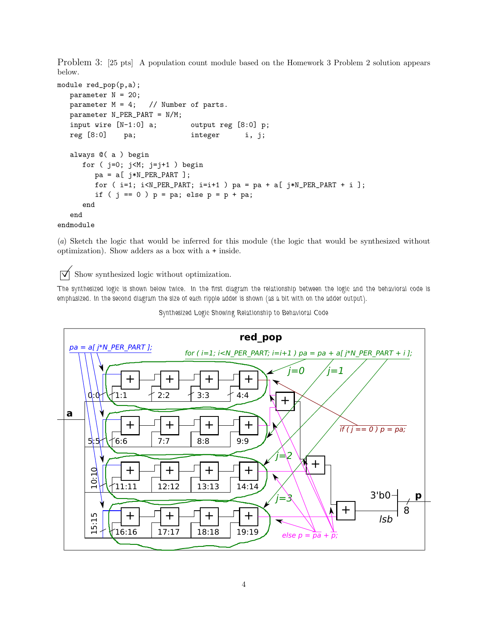Problem 3: [25 pts] A population count module based on the Homework 3 Problem 2 solution appears below.

```
module red_pop(p,a);
  parameter N = 20;
  parameter M = 4; // Number of parts.
  parameter N_PER_PART = N/M;
  input wire [N-1:0] a; output reg [8:0] p;
  reg [8:0] pa; integer i, j;
  always @( a ) begin
     for ( j=0; j<M; j=j+1 ) begin
        pa = a[ j*N\_PER\_PART ];
        for ( i=1; i< N_PER_PART; i=i+1 ) pa = pa + a[ i*N_PER_PART + i ];
        if ( j == 0 ) p = pa; else p = p + pa;
     end
   end
endmodule
```
(*a*) Sketch the logic that would be inferred for this module (the logic that would be synthesized without optimization). Show adders as a box with a + inside.

 $\triangledown$  Show synthesized logic without optimization.

*The synthesized logic is shown below twice. In the first diagram the relationship between the logic and the behavioral code is emphasized. In the second diagram the size of each ripple adder is shown (as a bit with on the adder output).*



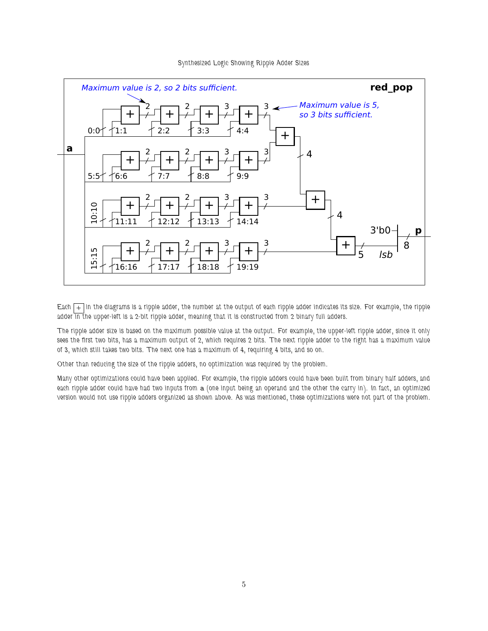

#### *Synthesized Logic Showing Ripple Adder Sizes*

*Each + in the diagrams is a ripple adder, the number at the output of each ripple adder indicates its size. For example, the ripple* adder in the upper-left is a 2-bit ripple adder, meaning that it is constructed from 2 binary full adders.

*The ripple adder size is based on the maximum possible value at the output. For example, the upper-left ripple adder, since it only sees the first two bits, has a maximum output of 2, which requires 2 bits. The next ripple adder to the right has a maximum value of 3, which still takes two bits. The next one has a maximum of 4, requiring 4 bits, and so on.*

*Other than reducing the size of the ripple adders, no optimization was required by the problem.*

*Many other optimizations could have been applied. For example, the ripple adders could have been built from binary half adders, and each ripple adder could have had two inputs from* a *(one input being an operand and the other the carry in). In fact, an optimized version would not use ripple adders organized as shown above. As was mentioned, these optimizations were not part of the problem.*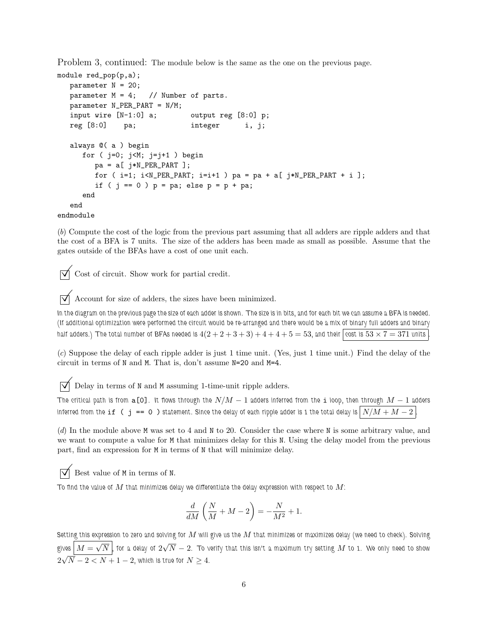Problem 3, continued: The module below is the same as the one on the previous page.

```
module red_pop(p,a);
  parameter N = 20;
  parameter M = 4; // Number of parts.
  parameter N_PER_PART = N/M;
  input wire [N-1:0] a; output reg [8:0] p;
  reg [8:0] pa; integer i, j;
  always @( a ) begin
     for ( j=0; j<M; j=j+1 ) begin
        pa = a[ j*N\_PER\_PART ];
        for (i=1; i< N_PER_PART; i=i+1) pa = pa + a[j*N_PER_PART + i];
        if ( j == 0 ) p = pa; else p = p + pa;
     end
  end
endmodule
```
(*b*) Compute the cost of the logic from the previous part assuming that all adders are ripple adders and that the cost of a BFA is 7 units. The size of the adders has been made as small as possible. Assume that the gates outside of the BFAs have a cost of one unit each.

 $\overrightarrow{\mathsf{q}}$  Cost of circuit. Show work for partial credit.

 $\boxed{\bigtriangledown}$  <br> Account for size of adders, the sizes have been minimized.

*In the diagram on the previous page the size of each adder is shown. The size is in bits, and for each bit we can assume a BFA is needed. (If additional optimization were performed the circuit would be re-arranged and there would be a mix of binary full adders and binary* half adders.) The total number of BFAs needed is  $4(2+2+3+3)+4+4+5=53$ , and their  $\overline{\text{cost}}$  is  $53 \times 7 = 371$  units

(*c*) Suppose the delay of each ripple adder is just 1 time unit. (Yes, just 1 time unit.) Find the delay of the circuit in terms of N and M. That is, don't assume N=20 and M=4.

 $\overrightarrow{\mathsf{V}}$  Delay in terms of N and M assuming 1-time-unit ripple adders.

*The critical path is from* a[0]*. It flows through the* N/M − 1 *adders inferred from the* i *loop, then through* M − 1 *adders inferred from the* if (  $j == 0$  ) statement. Since the delay of each ripple adder is 1 the total delay is  $\left\lfloor N/M + M - 2 \right\rfloor$ 

(*d*) In the module above M was set to 4 and N to 20. Consider the case where N is some arbitrary value, and we want to compute a value for M that minimizes delay for this N. Using the delay model from the previous part, find an expression for M in terms of N that will minimize delay.

 $\triangledown$  Best value of M in terms of N.

To find the value of  $M$  that minimizes delay we differentiate the delay expression with respect to  $M$ :

$$
\frac{d}{dM}\left(\frac{N}{M}+M-2\right) = -\frac{N}{M^2} + 1.
$$

*Setting this expression to zero and solving for* M *will give us the* M *that minimizes or maximizes delay (we need to check). Solving* gives  $\boxed{M=\sqrt{N}}$  , for a delay of  $2\sqrt{N}-2.$  To verify that this isn't a maximum try setting  $M$  to 1. We only need to show  $2\sqrt{N-2} < N+1-2$ , which is true for  $N \geq 4$ .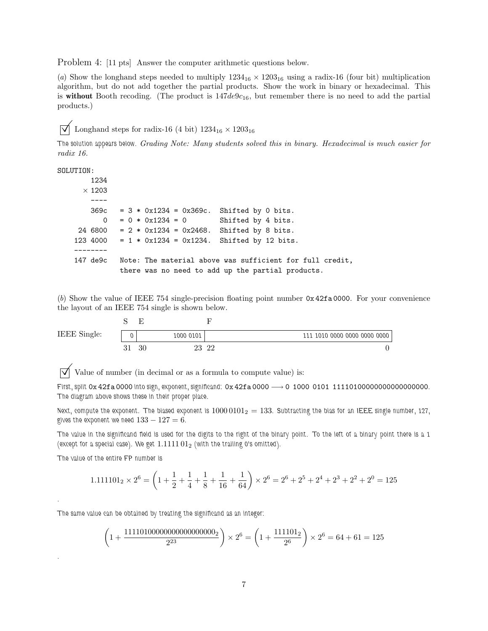Problem 4: [11 pts] Answer the computer arithmetic questions below.

(*a*) Show the longhand steps needed to multiply  $1234_{16} \times 1203_{16}$  using a radix-16 (four bit) multiplication algorithm, but do not add together the partial products. Show the work in binary or hexadecimal. This is without Booth recoding. (The product is  $147de9c_{16}$ , but remember there is no need to add the partial products.)

 $\sqrt{\phantom{a}}$  Longhand steps for radix-16 (4 bit)  $1234_{16} \times 1203_{16}$ 

*The solution appears below. Grading Note: Many students solved this in binary. Hexadecimal is much easier for radix 16.*

SOLUTION:

|               | 1234 |                                                        |                    |                                                          |
|---------------|------|--------------------------------------------------------|--------------------|----------------------------------------------------------|
| $\times$ 1203 |      |                                                        |                    |                                                          |
|               |      |                                                        |                    |                                                          |
|               |      | $369c = 3 * 0x1234 = 0x369c.$                          | Shifted by 0 bits. |                                                          |
|               | 0    | $= 0 * 0x1234 = 0$                                     | Shifted by 4 bits. |                                                          |
|               |      | 24 6800 = $2 * 0x1234 = 0x2468$ . Shifted by 8 bits.   |                    |                                                          |
|               |      | 123 4000 = $1 * 0x1234 = 0x1234$ . Shifted by 12 bits. |                    |                                                          |
|               |      |                                                        |                    |                                                          |
| 147 de9c      |      |                                                        |                    | Note: The material above was sufficient for full credit, |
|               |      | there was no need to add up the partial products.      |                    |                                                          |

(*b*) Show the value of IEEE 754 single-precision floating point number 0x 42fa 0000. For your convenience the layout of an IEEE 754 single is shown below.

| IEEE Single: | 1000 0101 |    |    | 111 1010 0000 0000 0000 0000 |
|--------------|-----------|----|----|------------------------------|
|              | 30        | 23 | 22 |                              |

 $\triangledown$  Value of number (in decimal or as a formula to compute value) is:

*First, split* 0x 42fa 0000 *into sign, exponent, significand:* 0x 42fa 0000 −→ 0 1000 0101 11110100000000000000000*. The diagram above shows these in their proper place.*

*Next, compute the exponent. The biased exponent is* 1000 0101<sup>2</sup> = 133*. Subtracting the bias for an IEEE single number, 127,* gives the exponent we need  $133 - 127 = 6$ .

*The value in the significand field is used for the digits to the right of the binary point. To the left of a binary point there is a 1 (except for a special case). We get* 1.1111 01<sup>2</sup> *(with the trailing 0's omitted).*

*The value of the entire FP number is*

*.*

*.*

$$
1.111101_2 \times 2^6 = \left(1 + \frac{1}{2} + \frac{1}{4} + \frac{1}{8} + \frac{1}{16} + \frac{1}{64}\right) \times 2^6 = 2^6 + 2^5 + 2^4 + 2^3 + 2^2 + 2^0 = 125
$$

*The same value can be obtained by treating the significand as an integer:*

$$
\left(1 + \frac{1111010000000000000000}{2^{23}}\right) \times 2^6 = \left(1 + \frac{111101_2}{2^6}\right) \times 2^6 = 64 + 61 = 125
$$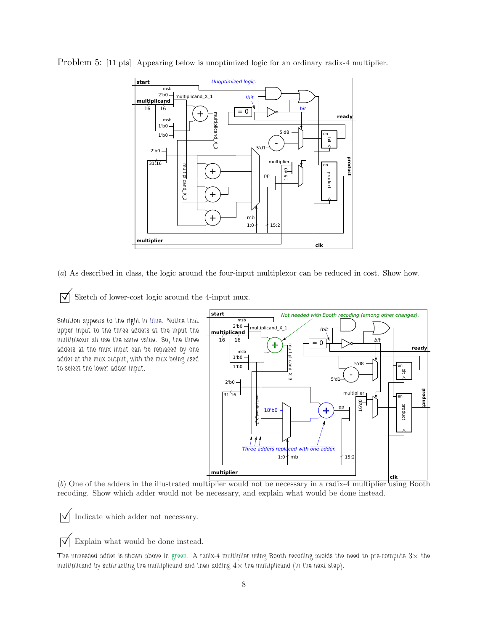

Problem 5: [11 pts] Appearing below is unoptimized logic for an ordinary radix-4 multiplier.

(*a*) As described in class, the logic around the four-input multiplexor can be reduced in cost. Show how.

 $\triangledown$  Sketch of lower-cost logic around the 4-input mux.

*Solution appears to the right in blue. Notice that upper input to the three adders at the input the multiplexor all use the same value. So, the three adders at the mux input can be replaced by one adder at the mux output, with the mux being used to select the lower adder input.*



(*b*) One of the adders in the illustrated multiplier would not be necessary in a radix-4 multiplier using Booth recoding. Show which adder would not be necessary, and explain what would be done instead.

 $\triangledown$  Indicate which adder not necessary.

 $\triangledown$  Explain what would be done instead.

The unneeded adder is shown above in green. A radix-4 multiplier using Booth recoding avoids the need to pre-compute  $3\times$  the *multiplicand by subtracting the multiplicand and then adding* 4× *the multiplicand (in the next step).*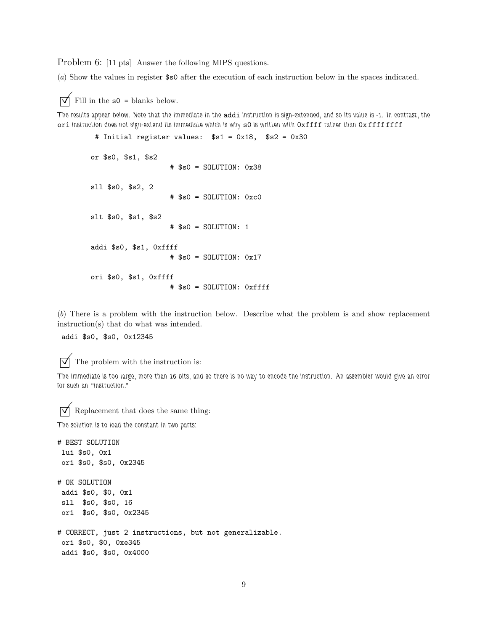Problem 6: [11 pts] Answer the following MIPS questions.

(*a*) Show the values in register \$s0 after the execution of each instruction below in the spaces indicated.

 $\triangledown$  Fill in the s0 = blanks below.

*The results appear below. Note that the immediate in the* addi *instruction is sign-extended, and so its value is -1. In contrast, the* ori *instruction does not sign-extend its immediate which is why* s0 *is written with* 0xffff *rather than* 0x ffff ffff

```
# Initial register values: $s1 = 0x18, $s2 = 0x30
or $s0, $s1, $s2
                   # $s0 = SOLUTION: 0x38
sll $s0, $s2, 2
                   # $s0 = SOLUTION: 0xc0
slt $s0, $s1, $s2
                   # $s0 = SOLUTION: 1
addi $s0, $s1, 0xffff
                   # $s0 = SOLUTION: 0x17
ori $s0, $s1, 0xffff
                   # $s0 = SOLUTION: 0xffff
```
(*b*) There is a problem with the instruction below. Describe what the problem is and show replacement instruction(s) that do what was intended.

addi \$s0, \$s0, 0x12345

 $\triangledown$  The problem with the instruction is:

*The immediate is too large, more than 16 bits, and so there is no way to encode the instruction. An assembler would give an error for such an "instruction."*

 $\triangledown$  Replacement that does the same thing:

*The solution is to load the constant in two parts:*

```
# BEST SOLUTION
lui $s0, 0x1
ori $s0, $s0, 0x2345
# OK SOLUTION
 addi $s0, $0, 0x1
sll $s0, $s0, 16
ori $s0, $s0, 0x2345
# CORRECT, just 2 instructions, but not generalizable.
ori $s0, $0, 0xe345
addi $s0, $s0, 0x4000
```